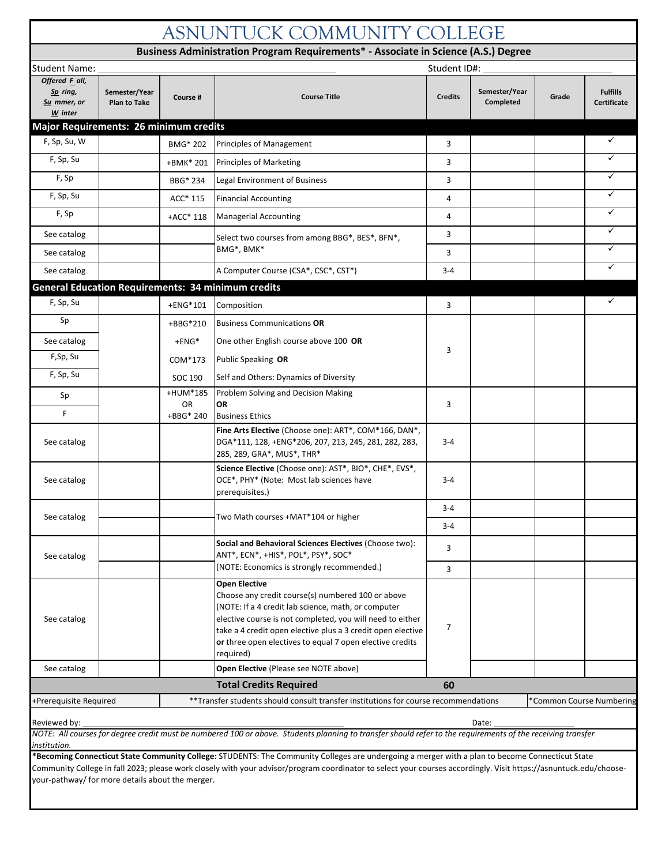| ASNUNTUCK COMMUNITY COLLEGE                                                                                                               |                                      |                        |                                                                                                                                                                                                                                                                                                                                       |                |                            |       |                                       |  |  |  |
|-------------------------------------------------------------------------------------------------------------------------------------------|--------------------------------------|------------------------|---------------------------------------------------------------------------------------------------------------------------------------------------------------------------------------------------------------------------------------------------------------------------------------------------------------------------------------|----------------|----------------------------|-------|---------------------------------------|--|--|--|
| Business Administration Program Requirements* - Associate in Science (A.S.) Degree                                                        |                                      |                        |                                                                                                                                                                                                                                                                                                                                       |                |                            |       |                                       |  |  |  |
| Student ID#:<br>Student Name:                                                                                                             |                                      |                        |                                                                                                                                                                                                                                                                                                                                       |                |                            |       |                                       |  |  |  |
| Offered F_all,<br>Sp ring,<br>Su mmer, or<br>W inter                                                                                      | Semester/Year<br><b>Plan to Take</b> | Course #               | <b>Course Title</b>                                                                                                                                                                                                                                                                                                                   | <b>Credits</b> | Semester/Year<br>Completed | Grade | <b>Fulfills</b><br><b>Certificate</b> |  |  |  |
| Major Requirements: 26 minimum credits                                                                                                    |                                      |                        |                                                                                                                                                                                                                                                                                                                                       |                |                            |       |                                       |  |  |  |
| F, Sp, Su, W                                                                                                                              |                                      | BMG* 202               | <b>Principles of Management</b>                                                                                                                                                                                                                                                                                                       | 3              |                            |       | ✓                                     |  |  |  |
| F, Sp, Su                                                                                                                                 |                                      | +BMK* 201              | <b>Principles of Marketing</b>                                                                                                                                                                                                                                                                                                        | 3              |                            |       | ✓                                     |  |  |  |
| F, Sp                                                                                                                                     |                                      | BBG* 234               | Legal Environment of Business                                                                                                                                                                                                                                                                                                         | 3              |                            |       | ✓                                     |  |  |  |
| F, Sp, Su                                                                                                                                 |                                      | ACC* 115               | <b>Financial Accounting</b>                                                                                                                                                                                                                                                                                                           | $\overline{4}$ |                            |       | ✓                                     |  |  |  |
| F, Sp                                                                                                                                     |                                      | +ACC* 118              | <b>Managerial Accounting</b>                                                                                                                                                                                                                                                                                                          | 4              |                            |       | ✓                                     |  |  |  |
| See catalog                                                                                                                               |                                      |                        | Select two courses from among BBG*, BES*, BFN*,                                                                                                                                                                                                                                                                                       | 3              |                            |       | ✓                                     |  |  |  |
| See catalog                                                                                                                               |                                      |                        | BMG*, BMK*                                                                                                                                                                                                                                                                                                                            | 3              |                            |       | ✓                                     |  |  |  |
| See catalog                                                                                                                               |                                      |                        | A Computer Course (CSA*, CSC*, CST*)                                                                                                                                                                                                                                                                                                  | $3 - 4$        |                            |       | ✓                                     |  |  |  |
|                                                                                                                                           |                                      |                        | <b>General Education Requirements: 34 minimum credits</b>                                                                                                                                                                                                                                                                             |                |                            |       |                                       |  |  |  |
| F, Sp, Su                                                                                                                                 |                                      | +ENG*101               | Composition                                                                                                                                                                                                                                                                                                                           | 3              |                            |       | $\checkmark$                          |  |  |  |
| Sp                                                                                                                                        |                                      | +BBG*210               | <b>Business Communications OR</b>                                                                                                                                                                                                                                                                                                     |                |                            |       |                                       |  |  |  |
| See catalog                                                                                                                               |                                      | $+ENG*$                | One other English course above 100 OR                                                                                                                                                                                                                                                                                                 |                |                            |       |                                       |  |  |  |
| F,Sp, Su                                                                                                                                  |                                      | COM*173                | Public Speaking OR                                                                                                                                                                                                                                                                                                                    | 3              |                            |       |                                       |  |  |  |
| F, Sp, Su                                                                                                                                 |                                      | SOC 190                | Self and Others: Dynamics of Diversity                                                                                                                                                                                                                                                                                                |                |                            |       |                                       |  |  |  |
| Sp                                                                                                                                        |                                      | +HUM*185               | Problem Solving and Decision Making                                                                                                                                                                                                                                                                                                   |                |                            |       |                                       |  |  |  |
| F                                                                                                                                         |                                      | <b>OR</b><br>+BBG* 240 | <b>OR</b><br><b>Business Ethics</b>                                                                                                                                                                                                                                                                                                   | 3              |                            |       |                                       |  |  |  |
| See catalog                                                                                                                               |                                      |                        | Fine Arts Elective (Choose one): ART*, COM*166, DAN*,<br>DGA*111, 128, +ENG*206, 207, 213, 245, 281, 282, 283,<br>285, 289, GRA*, MUS*, THR*                                                                                                                                                                                          | 3-4            |                            |       |                                       |  |  |  |
| See catalog                                                                                                                               |                                      |                        | Science Elective (Choose one): AST*, BIO*, CHE*, EVS*,<br>OCE*, PHY* (Note: Most lab sciences have<br>prerequisites.)                                                                                                                                                                                                                 | $3 - 4$        |                            |       |                                       |  |  |  |
|                                                                                                                                           |                                      |                        |                                                                                                                                                                                                                                                                                                                                       |                |                            |       |                                       |  |  |  |
| See catalog                                                                                                                               |                                      |                        | Two Math courses +MAT*104 or higher                                                                                                                                                                                                                                                                                                   | $3 - 4$        |                            |       |                                       |  |  |  |
| See catalog                                                                                                                               |                                      |                        | Social and Behavioral Sciences Electives (Choose two):<br>ANT*, ECN*, +HIS*, POL*, PSY*, SOC*                                                                                                                                                                                                                                         | 3              |                            |       |                                       |  |  |  |
|                                                                                                                                           |                                      |                        | (NOTE: Economics is strongly recommended.)                                                                                                                                                                                                                                                                                            | 3              |                            |       |                                       |  |  |  |
| See catalog                                                                                                                               |                                      |                        | <b>Open Elective</b><br>Choose any credit course(s) numbered 100 or above<br>(NOTE: If a 4 credit lab science, math, or computer<br>elective course is not completed, you will need to either<br>take a 4 credit open elective plus a 3 credit open elective<br>or three open electives to equal 7 open elective credits<br>required) | $\overline{7}$ |                            |       |                                       |  |  |  |
| See catalog                                                                                                                               |                                      |                        | Open Elective (Please see NOTE above)                                                                                                                                                                                                                                                                                                 |                |                            |       |                                       |  |  |  |
|                                                                                                                                           |                                      |                        | <b>Total Credits Required</b>                                                                                                                                                                                                                                                                                                         | 60             |                            |       |                                       |  |  |  |
| **Transfer students should consult transfer institutions for course recommendations<br>+Prerequisite Required<br>'Common Course Numbering |                                      |                        |                                                                                                                                                                                                                                                                                                                                       |                |                            |       |                                       |  |  |  |
| Reviewed by:<br>institution.                                                                                                              |                                      |                        | NOTE: All courses for degree credit must be numbered 100 or above. Students planning to transfer should refer to the requirements of the receiving transfer<br>*Becoming Connecticut State Community College: STUDENTS: The Community Colleges are undergoing a merger with a plan to become Connecticut State                        |                | Date:                      |       |                                       |  |  |  |

**oming Connecticut State Community College:** STUDENTS: The Community Colleges are undergoing a merger with a plan to become Connecticut State Community College in fall 2023; please work closely with your advisor/program coordinator to select your courses accordingly. Visit https://asnuntuck.edu/chooseyour-pathway/ for more details about the merger.